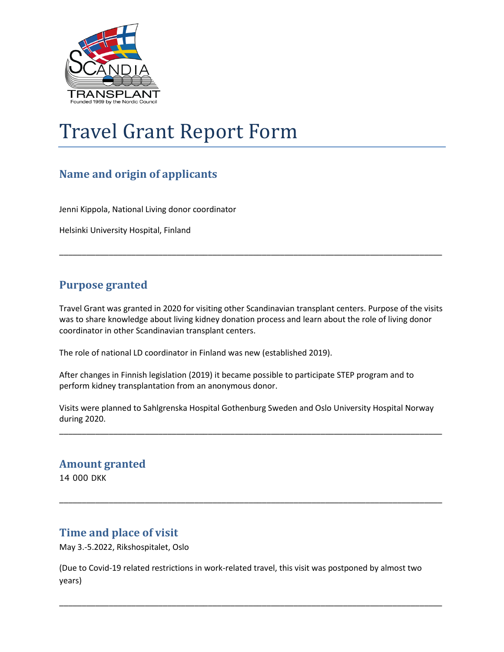

# Travel Grant Report Form

# **Name and origin of applicants**

Jenni Kippola, National Living donor coordinator

Helsinki University Hospital, Finland

### **Purpose granted**

Travel Grant was granted in 2020 for visiting other Scandinavian transplant centers. Purpose of the visits was to share knowledge about living kidney donation process and learn about the role of living donor coordinator in other Scandinavian transplant centers.

\_\_\_\_\_\_\_\_\_\_\_\_\_\_\_\_\_\_\_\_\_\_\_\_\_\_\_\_\_\_\_\_\_\_\_\_\_\_\_\_\_\_\_\_\_\_\_\_\_\_\_\_\_\_\_\_\_\_\_\_\_\_\_\_\_\_\_\_\_\_\_\_\_\_\_\_\_\_\_\_\_\_\_\_\_

The role of national LD coordinator in Finland was new (established 2019).

After changes in Finnish legislation (2019) it became possible to participate STEP program and to perform kidney transplantation from an anonymous donor.

Visits were planned to Sahlgrenska Hospital Gothenburg Sweden and Oslo University Hospital Norway during 2020.

\_\_\_\_\_\_\_\_\_\_\_\_\_\_\_\_\_\_\_\_\_\_\_\_\_\_\_\_\_\_\_\_\_\_\_\_\_\_\_\_\_\_\_\_\_\_\_\_\_\_\_\_\_\_\_\_\_\_\_\_\_\_\_\_\_\_\_\_\_\_\_\_\_\_\_\_\_\_\_\_\_\_\_\_\_

\_\_\_\_\_\_\_\_\_\_\_\_\_\_\_\_\_\_\_\_\_\_\_\_\_\_\_\_\_\_\_\_\_\_\_\_\_\_\_\_\_\_\_\_\_\_\_\_\_\_\_\_\_\_\_\_\_\_\_\_\_\_\_\_\_\_\_\_\_\_\_\_\_\_\_\_\_\_\_\_\_\_\_\_\_

#### **Amount granted**

14 000 DKK

### **Time and place of visit**

May 3.-5.2022, Rikshospitalet, Oslo

(Due to Covid-19 related restrictions in work-related travel, this visit was postponed by almost two years)

\_\_\_\_\_\_\_\_\_\_\_\_\_\_\_\_\_\_\_\_\_\_\_\_\_\_\_\_\_\_\_\_\_\_\_\_\_\_\_\_\_\_\_\_\_\_\_\_\_\_\_\_\_\_\_\_\_\_\_\_\_\_\_\_\_\_\_\_\_\_\_\_\_\_\_\_\_\_\_\_\_\_\_\_\_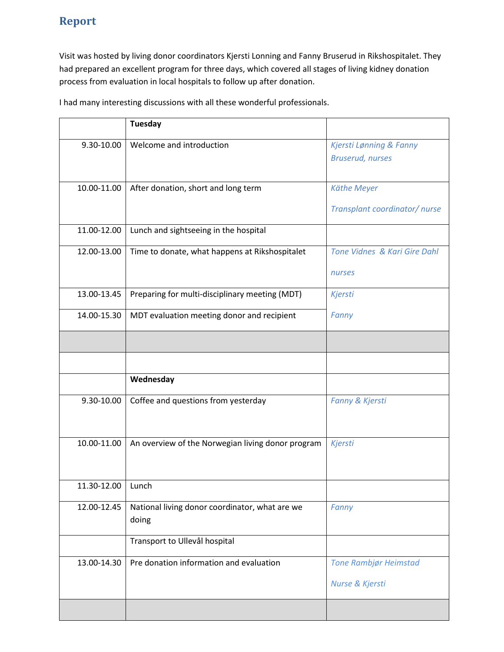## **Report**

Visit was hosted by living donor coordinators Kjersti Lonning and Fanny Bruserud in Rikshospitalet. They had prepared an excellent program for three days, which covered all stages of living kidney donation process from evaluation in local hospitals to follow up after donation.

I had many interesting discussions with all these wonderful professionals.

|                   | <b>Tuesday</b>                                          |                                                    |
|-------------------|---------------------------------------------------------|----------------------------------------------------|
| 9.30-10.00        | Welcome and introduction                                | Kjersti Lønning & Fanny<br><b>Bruserud, nurses</b> |
| 10.00-11.00       | After donation, short and long term                     | Käthe Meyer<br>Transplant coordinator/nurse        |
| 11.00-12.00       | Lunch and sightseeing in the hospital                   |                                                    |
| 12.00-13.00       | Time to donate, what happens at Rikshospitalet          | <b>Tone Vidnes &amp; Kari Gire Dahl</b>            |
|                   |                                                         | nurses                                             |
| 13.00-13.45       | Preparing for multi-disciplinary meeting (MDT)          | Kjersti                                            |
| 14.00-15.30       | MDT evaluation meeting donor and recipient              | Fanny                                              |
|                   |                                                         |                                                    |
|                   |                                                         |                                                    |
|                   | Wednesday                                               |                                                    |
| 9.30-10.00        | Coffee and questions from yesterday                     | Fanny & Kjersti                                    |
| 10.00-11.00       | An overview of the Norwegian living donor program       | Kjersti                                            |
| 11.30-12.00 Lunch |                                                         |                                                    |
| 12.00-12.45       | National living donor coordinator, what are we<br>doing | Fanny                                              |
|                   | Transport to Ullevål hospital                           |                                                    |
| 13.00-14.30       | Pre donation information and evaluation                 | Tone Rambjør Heimstad                              |
|                   |                                                         | Nurse & Kjersti                                    |
|                   |                                                         |                                                    |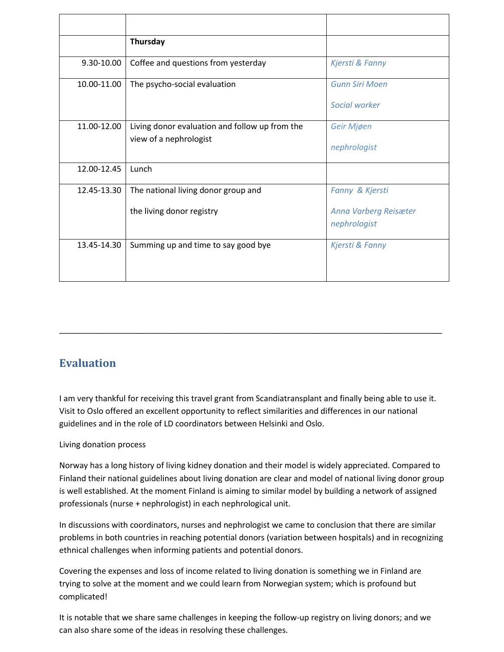|             | Thursday                                       |                                       |
|-------------|------------------------------------------------|---------------------------------------|
| 9.30-10.00  | Coffee and questions from yesterday            | Kjersti & Fanny                       |
| 10.00-11.00 | The psycho-social evaluation                   | <b>Gunn Siri Moen</b>                 |
|             |                                                | Social worker                         |
| 11.00-12.00 | Living donor evaluation and follow up from the | Geir Mjøen                            |
|             | view of a nephrologist                         | nephrologist                          |
| 12.00-12.45 | Lunch                                          |                                       |
| 12.45-13.30 | The national living donor group and            | Fanny & Kjersti                       |
|             | the living donor registry                      | Anna Varberg Reisæter<br>nephrologist |
|             |                                                |                                       |
| 13.45-14.30 | Summing up and time to say good bye            | Kjersti & Fanny                       |

### **Evaluation**

I am very thankful for receiving this travel grant from Scandiatransplant and finally being able to use it. Visit to Oslo offered an excellent opportunity to reflect similarities and differences in our national guidelines and in the role of LD coordinators between Helsinki and Oslo.

\_\_\_\_\_\_\_\_\_\_\_\_\_\_\_\_\_\_\_\_\_\_\_\_\_\_\_\_\_\_\_\_\_\_\_\_\_\_\_\_\_\_\_\_\_\_\_\_\_\_\_\_\_\_\_\_\_\_\_\_\_\_\_\_\_\_\_\_\_\_\_\_\_\_\_\_\_\_\_\_\_\_\_\_\_

#### Living donation process

Norway has a long history of living kidney donation and their model is widely appreciated. Compared to Finland their national guidelines about living donation are clear and model of national living donor group is well established. At the moment Finland is aiming to similar model by building a network of assigned professionals (nurse + nephrologist) in each nephrological unit.

In discussions with coordinators, nurses and nephrologist we came to conclusion that there are similar problems in both countries in reaching potential donors (variation between hospitals) and in recognizing ethnical challenges when informing patients and potential donors.

Covering the expenses and loss of income related to living donation is something we in Finland are trying to solve at the moment and we could learn from Norwegian system; which is profound but complicated!

It is notable that we share same challenges in keeping the follow-up registry on living donors; and we can also share some of the ideas in resolving these challenges.